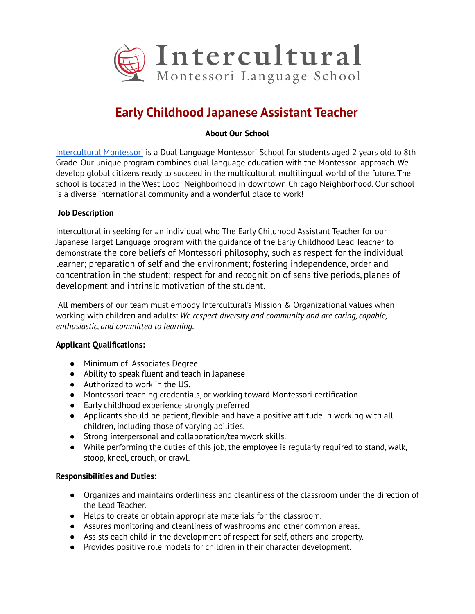

# **Early Childhood Japanese Assistant Teacher**

# **About Our School**

Intercultural Montessori is a Dual Language Montessori School for students aged 2 years old to 8th Grade. Our unique program combines dual language education with the Montessori approach. We develop global citizens ready to succeed in the multicultural, multilingual world of the future. The school is located in the West Loop Neighborhood in downtown Chicago Neighborhood. Our school is a diverse international community and a wonderful place to work!

# **Job Description**

Intercultural in seeking for an individual who The Early Childhood Assistant Teacher for our Japanese Target Language program with the guidance of the Early Childhood Lead Teacher to demonstrate the core beliefs of Montessori philosophy, such as respect for the individual learner; preparation of self and the environment; fostering independence, order and concentration in the student; respect for and recognition of sensitive periods, planes of development and intrinsic motivation of the student.

All members of our team must embody Intercultural's Mission & Organizational values when *Working with children and adults: We respect diversity and community and are caring, capable, enthusiastic, and committed to learning.* 

### **Applicant Qualifications:**

- Minimum of Associates Degree
- $\bullet$  Ability to speak fluent and teach in Japanese
- Authorized to work in the US.
- Montessori teaching credentials, or working toward Montessori certification
- Early childhood experience strongly preferred
- Applicants should be patient, flexible and have a positive attitude in working with all children, including those of varying abilities.
- Strong interpersonal and collaboration/teamwork skills.
- While performing the duties of this job, the employee is regularly required to stand, walk, stoop, kneel, crouch, or crawl.

### **Responsibilities and Duties:**

- Organizes and maintains orderliness and cleanliness of the classroom under the direction of the Lead Teacher.
- Helps to create or obtain appropriate materials for the classroom.
- Assures monitoring and cleanliness of washrooms and other common areas.
- Assists each child in the development of respect for self, others and property.
- Provides positive role models for children in their character development.